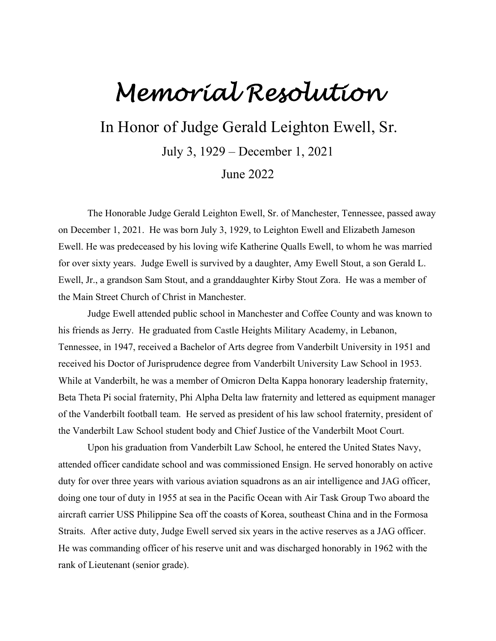## *Memorial Resolution*

In Honor of Judge Gerald Leighton Ewell, Sr.

July 3, 1929 – December 1, 2021

June 2022

The Honorable Judge Gerald Leighton Ewell, Sr. of Manchester, Tennessee, passed away on December 1, 2021. He was born July 3, 1929, to Leighton Ewell and Elizabeth Jameson Ewell. He was predeceased by his loving wife Katherine Qualls Ewell, to whom he was married for over sixty years. Judge Ewell is survived by a daughter, Amy Ewell Stout, a son Gerald L. Ewell, Jr., a grandson Sam Stout, and a granddaughter Kirby Stout Zora. He was a member of the Main Street Church of Christ in Manchester.

Judge Ewell attended public school in Manchester and Coffee County and was known to his friends as Jerry. He graduated from Castle Heights Military Academy, in Lebanon, Tennessee, in 1947, received a Bachelor of Arts degree from Vanderbilt University in 1951 and received his Doctor of Jurisprudence degree from Vanderbilt University Law School in 1953. While at Vanderbilt, he was a member of Omicron Delta Kappa honorary leadership fraternity, Beta Theta Pi social fraternity, Phi Alpha Delta law fraternity and lettered as equipment manager of the Vanderbilt football team. He served as president of his law school fraternity, president of the Vanderbilt Law School student body and Chief Justice of the Vanderbilt Moot Court.

Upon his graduation from Vanderbilt Law School, he entered the United States Navy, attended officer candidate school and was commissioned Ensign. He served honorably on active duty for over three years with various aviation squadrons as an air intelligence and JAG officer, doing one tour of duty in 1955 at sea in the Pacific Ocean with Air Task Group Two aboard the aircraft carrier USS Philippine Sea off the coasts of Korea, southeast China and in the Formosa Straits. After active duty, Judge Ewell served six years in the active reserves as a JAG officer. He was commanding officer of his reserve unit and was discharged honorably in 1962 with the rank of Lieutenant (senior grade).